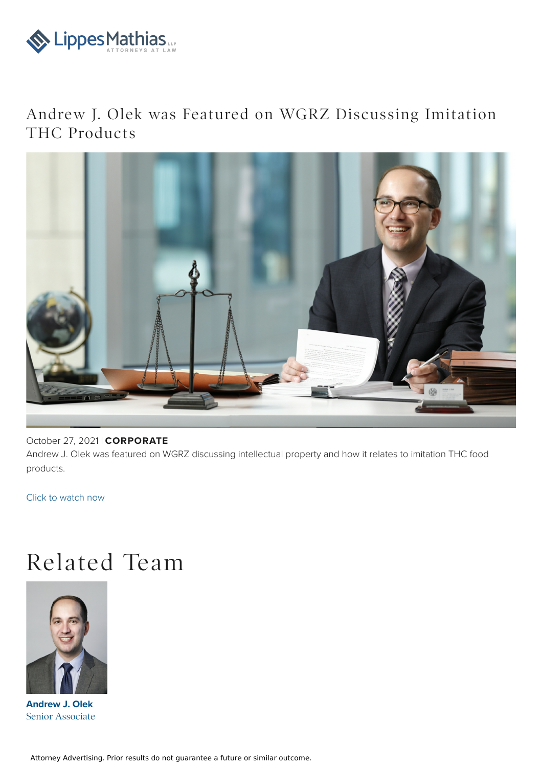

## Andrew J. Olek was Featured on WGRZ Discussing Imitation THC Products



## October 27, 2021 | **CORPORATE**

Andrew J. Olek was featured on WGRZ discussing intellectual property and how it relates to imitation THC food products.

Click to [watch](https://www.wgrz.com/video/news/wednesday-town-hall-segment-one-thc-treats/71-8ffab0a0-b425-4b5d-b880-7814cb67334a) now

## Related Team



**Andrew J. Olek** Senior [Associate](file:///team/andrew-j-olek-66)

Attorney Advertising. Prior results do not guarantee a future or similar outcome.